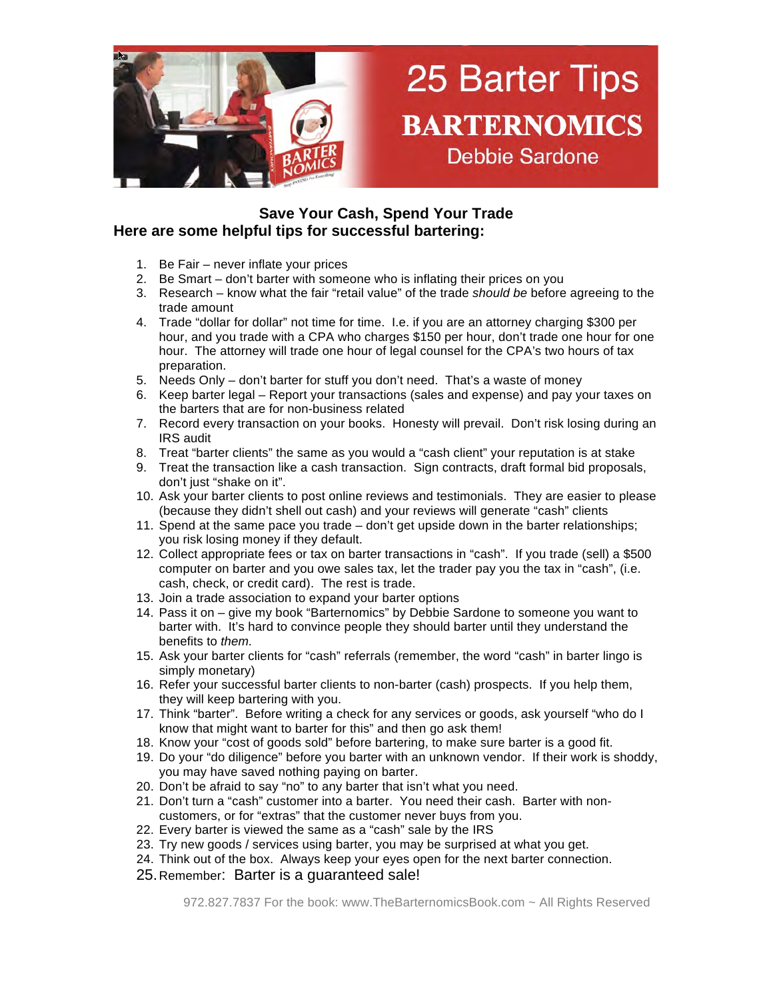

## **Save Your Cash, Spend Your Trade Here are some helpful tips for successful bartering:**

- 1. Be Fair never inflate your prices
- 2. Be Smart don't barter with someone who is inflating their prices on you
- 3. Research know what the fair "retail value" of the trade *should be* before agreeing to the trade amount
- 4. Trade "dollar for dollar" not time for time. I.e. if you are an attorney charging \$300 per hour, and you trade with a CPA who charges \$150 per hour, don't trade one hour for one hour. The attorney will trade one hour of legal counsel for the CPA's two hours of tax preparation.
- 5. Needs Only don't barter for stuff you don't need. That's a waste of money
- 6. Keep barter legal Report your transactions (sales and expense) and pay your taxes on the barters that are for non-business related
- 7. Record every transaction on your books. Honesty will prevail. Don't risk losing during an IRS audit
- 8. Treat "barter clients" the same as you would a "cash client" your reputation is at stake
- 9. Treat the transaction like a cash transaction. Sign contracts, draft formal bid proposals, don't just "shake on it".
- 10. Ask your barter clients to post online reviews and testimonials. They are easier to please (because they didn't shell out cash) and your reviews will generate "cash" clients
- 11. Spend at the same pace you trade don't get upside down in the barter relationships; you risk losing money if they default.
- 12. Collect appropriate fees or tax on barter transactions in "cash". If you trade (sell) a \$500 computer on barter and you owe sales tax, let the trader pay you the tax in "cash", (i.e. cash, check, or credit card). The rest is trade.
- 13. Join a trade association to expand your barter options
- 14. Pass it on give my book "Barternomics" by Debbie Sardone to someone you want to barter with. It's hard to convince people they should barter until they understand the benefits to *them.*
- 15. Ask your barter clients for "cash" referrals (remember, the word "cash" in barter lingo is simply monetary)
- 16. Refer your successful barter clients to non-barter (cash) prospects. If you help them, they will keep bartering with you.
- 17. Think "barter". Before writing a check for any services or goods, ask yourself "who do I know that might want to barter for this" and then go ask them!
- 18. Know your "cost of goods sold" before bartering, to make sure barter is a good fit.
- 19. Do your "do diligence" before you barter with an unknown vendor. If their work is shoddy, you may have saved nothing paying on barter.
- 20. Don't be afraid to say "no" to any barter that isn't what you need.
- 21. Don't turn a "cash" customer into a barter. You need their cash. Barter with noncustomers, or for "extras" that the customer never buys from you.
- 22. Every barter is viewed the same as a "cash" sale by the IRS
- 23. Try new goods / services using barter, you may be surprised at what you get.
- 24. Think out of the box. Always keep your eyes open for the next barter connection.
- 25.Remember: Barter is a guaranteed sale!

972.827.7837 For the book: www.TheBarternomicsBook.com ~ All Rights Reserved